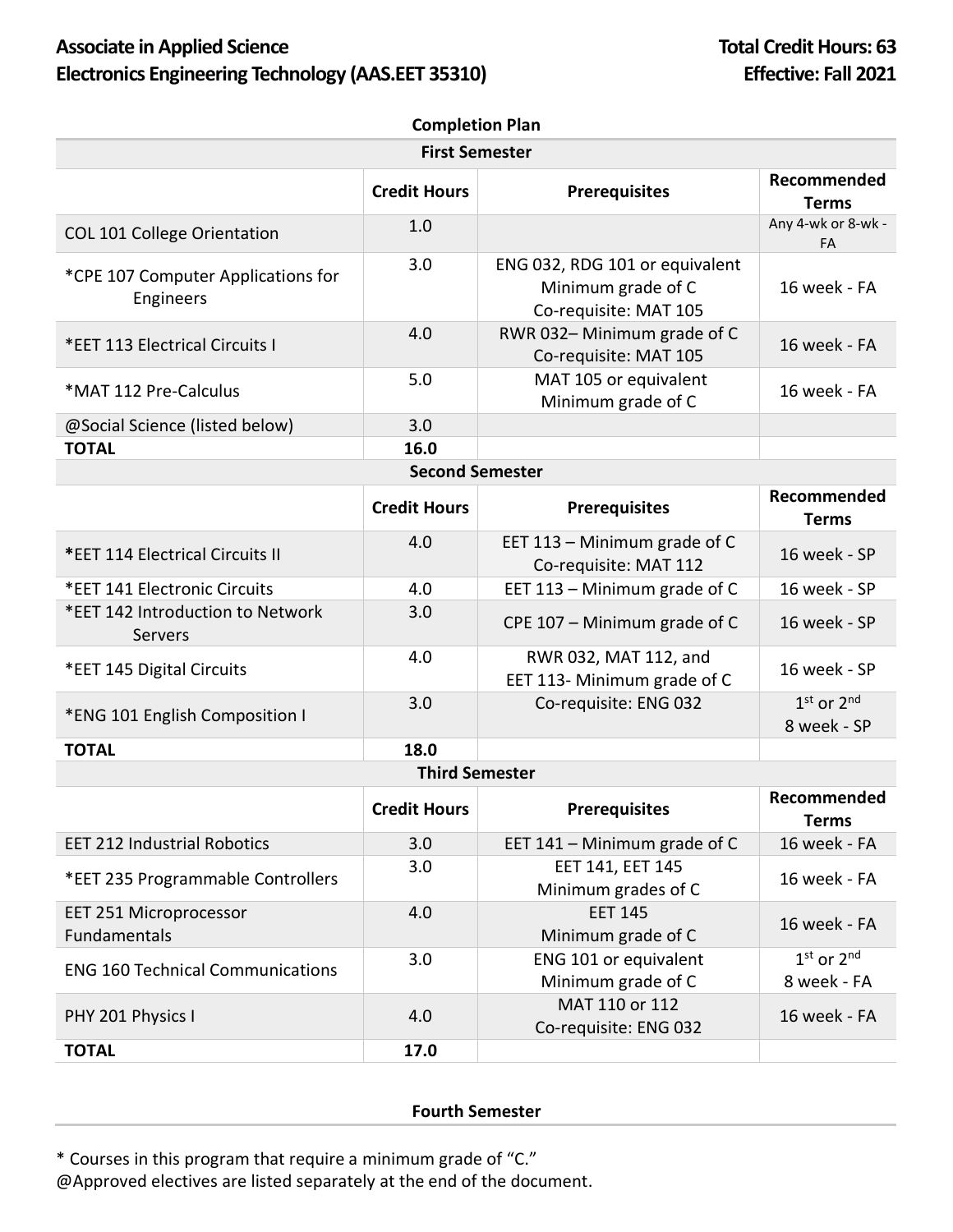## Associate in Applied Science **Total Credit Hours:** 63 Electronics Engineering Technology (AAS.EET 35310) **Effective: Fall 2021**

| <b>First Semester</b><br>Recommended<br><b>Credit Hours</b><br><b>Prerequisites</b><br><b>Terms</b><br>Any 4-wk or 8-wk -<br>1.0<br><b>COL 101 College Orientation</b><br>FA<br>3.0<br>ENG 032, RDG 101 or equivalent<br>*CPE 107 Computer Applications for<br>Minimum grade of C<br>16 week - FA<br>Engineers<br>Co-requisite: MAT 105<br>4.0<br>RWR 032-Minimum grade of C<br>16 week - FA<br>*EET 113 Electrical Circuits I<br>Co-requisite: MAT 105<br>5.0<br>MAT 105 or equivalent<br>16 week - FA<br>*MAT 112 Pre-Calculus<br>Minimum grade of C<br>3.0<br>@Social Science (listed below)<br>16.0<br><b>TOTAL</b><br><b>Second Semester</b><br>Recommended<br><b>Credit Hours</b><br><b>Prerequisites</b><br><b>Terms</b><br>4.0<br>EET 113 - Minimum grade of C<br>16 week - SP<br>*EET 114 Electrical Circuits II<br>Co-requisite: MAT 112<br>EET 113 - Minimum grade of C<br>*EET 141 Electronic Circuits<br>4.0<br>16 week - SP<br>*EET 142 Introduction to Network<br>3.0<br>CPE 107 - Minimum grade of C<br>16 week - SP<br>Servers<br>4.0<br>RWR 032, MAT 112, and<br>*EET 145 Digital Circuits<br>16 week - SP<br>EET 113- Minimum grade of C<br>$1st$ or $2nd$<br>3.0<br>Co-requisite: ENG 032<br>*ENG 101 English Composition I<br>8 week - SP<br><b>TOTAL</b><br>18.0<br><b>Third Semester</b><br>Recommended<br><b>Credit Hours</b><br><b>Prerequisites</b><br><b>Terms</b><br>16 week - FA<br>3.0<br><b>EET 212 Industrial Robotics</b><br>EET 141 - Minimum grade of C<br>EET 141, EET 145<br>3.0<br>16 week - FA<br>*EET 235 Programmable Controllers<br>Minimum grades of C<br>4.0<br><b>EET 145</b><br><b>EET 251 Microprocessor</b><br>16 week - FA<br>Fundamentals<br>Minimum grade of C<br>$1st$ or $2nd$<br>3.0<br>ENG 101 or equivalent<br><b>ENG 160 Technical Communications</b><br>Minimum grade of C<br>8 week - FA<br>MAT 110 or 112<br>PHY 201 Physics I<br>4.0<br>16 week - FA<br>Co-requisite: ENG 032<br><b>TOTAL</b><br>17.0 | <b>Completion Plan</b> |  |  |  |  |  |
|--------------------------------------------------------------------------------------------------------------------------------------------------------------------------------------------------------------------------------------------------------------------------------------------------------------------------------------------------------------------------------------------------------------------------------------------------------------------------------------------------------------------------------------------------------------------------------------------------------------------------------------------------------------------------------------------------------------------------------------------------------------------------------------------------------------------------------------------------------------------------------------------------------------------------------------------------------------------------------------------------------------------------------------------------------------------------------------------------------------------------------------------------------------------------------------------------------------------------------------------------------------------------------------------------------------------------------------------------------------------------------------------------------------------------------------------------------------------------------------------------------------------------------------------------------------------------------------------------------------------------------------------------------------------------------------------------------------------------------------------------------------------------------------------------------------------------------------------------------------------------------------------------------------------------------------------------------------------|------------------------|--|--|--|--|--|
|                                                                                                                                                                                                                                                                                                                                                                                                                                                                                                                                                                                                                                                                                                                                                                                                                                                                                                                                                                                                                                                                                                                                                                                                                                                                                                                                                                                                                                                                                                                                                                                                                                                                                                                                                                                                                                                                                                                                                                    |                        |  |  |  |  |  |
|                                                                                                                                                                                                                                                                                                                                                                                                                                                                                                                                                                                                                                                                                                                                                                                                                                                                                                                                                                                                                                                                                                                                                                                                                                                                                                                                                                                                                                                                                                                                                                                                                                                                                                                                                                                                                                                                                                                                                                    |                        |  |  |  |  |  |
|                                                                                                                                                                                                                                                                                                                                                                                                                                                                                                                                                                                                                                                                                                                                                                                                                                                                                                                                                                                                                                                                                                                                                                                                                                                                                                                                                                                                                                                                                                                                                                                                                                                                                                                                                                                                                                                                                                                                                                    |                        |  |  |  |  |  |
|                                                                                                                                                                                                                                                                                                                                                                                                                                                                                                                                                                                                                                                                                                                                                                                                                                                                                                                                                                                                                                                                                                                                                                                                                                                                                                                                                                                                                                                                                                                                                                                                                                                                                                                                                                                                                                                                                                                                                                    |                        |  |  |  |  |  |
|                                                                                                                                                                                                                                                                                                                                                                                                                                                                                                                                                                                                                                                                                                                                                                                                                                                                                                                                                                                                                                                                                                                                                                                                                                                                                                                                                                                                                                                                                                                                                                                                                                                                                                                                                                                                                                                                                                                                                                    |                        |  |  |  |  |  |
|                                                                                                                                                                                                                                                                                                                                                                                                                                                                                                                                                                                                                                                                                                                                                                                                                                                                                                                                                                                                                                                                                                                                                                                                                                                                                                                                                                                                                                                                                                                                                                                                                                                                                                                                                                                                                                                                                                                                                                    |                        |  |  |  |  |  |
|                                                                                                                                                                                                                                                                                                                                                                                                                                                                                                                                                                                                                                                                                                                                                                                                                                                                                                                                                                                                                                                                                                                                                                                                                                                                                                                                                                                                                                                                                                                                                                                                                                                                                                                                                                                                                                                                                                                                                                    |                        |  |  |  |  |  |
|                                                                                                                                                                                                                                                                                                                                                                                                                                                                                                                                                                                                                                                                                                                                                                                                                                                                                                                                                                                                                                                                                                                                                                                                                                                                                                                                                                                                                                                                                                                                                                                                                                                                                                                                                                                                                                                                                                                                                                    |                        |  |  |  |  |  |
|                                                                                                                                                                                                                                                                                                                                                                                                                                                                                                                                                                                                                                                                                                                                                                                                                                                                                                                                                                                                                                                                                                                                                                                                                                                                                                                                                                                                                                                                                                                                                                                                                                                                                                                                                                                                                                                                                                                                                                    |                        |  |  |  |  |  |
|                                                                                                                                                                                                                                                                                                                                                                                                                                                                                                                                                                                                                                                                                                                                                                                                                                                                                                                                                                                                                                                                                                                                                                                                                                                                                                                                                                                                                                                                                                                                                                                                                                                                                                                                                                                                                                                                                                                                                                    |                        |  |  |  |  |  |
|                                                                                                                                                                                                                                                                                                                                                                                                                                                                                                                                                                                                                                                                                                                                                                                                                                                                                                                                                                                                                                                                                                                                                                                                                                                                                                                                                                                                                                                                                                                                                                                                                                                                                                                                                                                                                                                                                                                                                                    |                        |  |  |  |  |  |
|                                                                                                                                                                                                                                                                                                                                                                                                                                                                                                                                                                                                                                                                                                                                                                                                                                                                                                                                                                                                                                                                                                                                                                                                                                                                                                                                                                                                                                                                                                                                                                                                                                                                                                                                                                                                                                                                                                                                                                    |                        |  |  |  |  |  |
|                                                                                                                                                                                                                                                                                                                                                                                                                                                                                                                                                                                                                                                                                                                                                                                                                                                                                                                                                                                                                                                                                                                                                                                                                                                                                                                                                                                                                                                                                                                                                                                                                                                                                                                                                                                                                                                                                                                                                                    |                        |  |  |  |  |  |
|                                                                                                                                                                                                                                                                                                                                                                                                                                                                                                                                                                                                                                                                                                                                                                                                                                                                                                                                                                                                                                                                                                                                                                                                                                                                                                                                                                                                                                                                                                                                                                                                                                                                                                                                                                                                                                                                                                                                                                    |                        |  |  |  |  |  |
|                                                                                                                                                                                                                                                                                                                                                                                                                                                                                                                                                                                                                                                                                                                                                                                                                                                                                                                                                                                                                                                                                                                                                                                                                                                                                                                                                                                                                                                                                                                                                                                                                                                                                                                                                                                                                                                                                                                                                                    |                        |  |  |  |  |  |
|                                                                                                                                                                                                                                                                                                                                                                                                                                                                                                                                                                                                                                                                                                                                                                                                                                                                                                                                                                                                                                                                                                                                                                                                                                                                                                                                                                                                                                                                                                                                                                                                                                                                                                                                                                                                                                                                                                                                                                    |                        |  |  |  |  |  |
|                                                                                                                                                                                                                                                                                                                                                                                                                                                                                                                                                                                                                                                                                                                                                                                                                                                                                                                                                                                                                                                                                                                                                                                                                                                                                                                                                                                                                                                                                                                                                                                                                                                                                                                                                                                                                                                                                                                                                                    |                        |  |  |  |  |  |
|                                                                                                                                                                                                                                                                                                                                                                                                                                                                                                                                                                                                                                                                                                                                                                                                                                                                                                                                                                                                                                                                                                                                                                                                                                                                                                                                                                                                                                                                                                                                                                                                                                                                                                                                                                                                                                                                                                                                                                    |                        |  |  |  |  |  |
|                                                                                                                                                                                                                                                                                                                                                                                                                                                                                                                                                                                                                                                                                                                                                                                                                                                                                                                                                                                                                                                                                                                                                                                                                                                                                                                                                                                                                                                                                                                                                                                                                                                                                                                                                                                                                                                                                                                                                                    |                        |  |  |  |  |  |
|                                                                                                                                                                                                                                                                                                                                                                                                                                                                                                                                                                                                                                                                                                                                                                                                                                                                                                                                                                                                                                                                                                                                                                                                                                                                                                                                                                                                                                                                                                                                                                                                                                                                                                                                                                                                                                                                                                                                                                    |                        |  |  |  |  |  |
|                                                                                                                                                                                                                                                                                                                                                                                                                                                                                                                                                                                                                                                                                                                                                                                                                                                                                                                                                                                                                                                                                                                                                                                                                                                                                                                                                                                                                                                                                                                                                                                                                                                                                                                                                                                                                                                                                                                                                                    |                        |  |  |  |  |  |
|                                                                                                                                                                                                                                                                                                                                                                                                                                                                                                                                                                                                                                                                                                                                                                                                                                                                                                                                                                                                                                                                                                                                                                                                                                                                                                                                                                                                                                                                                                                                                                                                                                                                                                                                                                                                                                                                                                                                                                    |                        |  |  |  |  |  |
|                                                                                                                                                                                                                                                                                                                                                                                                                                                                                                                                                                                                                                                                                                                                                                                                                                                                                                                                                                                                                                                                                                                                                                                                                                                                                                                                                                                                                                                                                                                                                                                                                                                                                                                                                                                                                                                                                                                                                                    |                        |  |  |  |  |  |
|                                                                                                                                                                                                                                                                                                                                                                                                                                                                                                                                                                                                                                                                                                                                                                                                                                                                                                                                                                                                                                                                                                                                                                                                                                                                                                                                                                                                                                                                                                                                                                                                                                                                                                                                                                                                                                                                                                                                                                    |                        |  |  |  |  |  |

## **Fourth Semester**

\* Courses in this program that require a minimum grade of "C."

@Approved electives are listed separately at the end of the document.